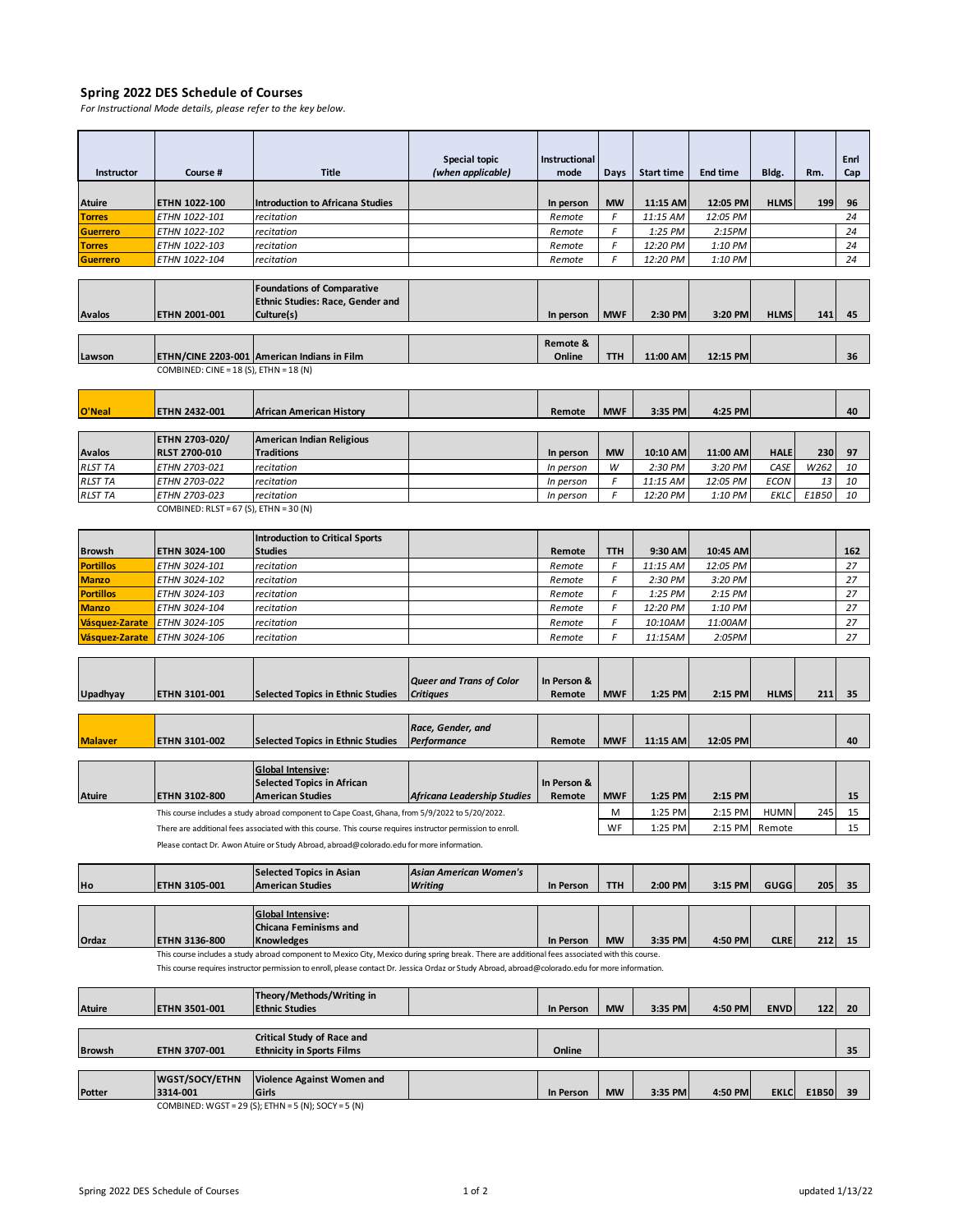## **Spring 2022 DES Schedule of Courses**

*For Instructional Mode details, please refer to the key below.*

|                                   |                                            |                                                                                                                                                                       | Special topic                   | <b>Instructional</b> |            |                     |                      |                |       | Enrl      |
|-----------------------------------|--------------------------------------------|-----------------------------------------------------------------------------------------------------------------------------------------------------------------------|---------------------------------|----------------------|------------|---------------------|----------------------|----------------|-------|-----------|
| Instructor                        | Course #                                   | <b>Title</b>                                                                                                                                                          | (when applicable)               | mode                 | Days       | <b>Start time</b>   | <b>End time</b>      | Bldg.          | Rm.   | Cap       |
| Atuire                            | ETHN 1022-100                              | <b>Introduction to Africana Studies</b>                                                                                                                               |                                 | In person            | <b>MW</b>  | 11:15 AM            | 12:05 PM             | <b>HLMS</b>    | 199   | 96        |
| <b>Torres</b>                     | ETHN 1022-101                              | recitation                                                                                                                                                            |                                 | Remote               | F          | 11:15 AM            | 12:05 PM             |                |       | 24        |
| <b>Guerrero</b>                   | <b>ETHN 1022-102</b>                       | recitation                                                                                                                                                            |                                 | Remote               | F          | 1:25 PM             | 2:15PM               |                |       | 24        |
| <b>Torres</b>                     | <i>ETHN 1022-103</i>                       | recitation                                                                                                                                                            |                                 | Remote               | F          | 12:20 PM            | 1:10 PM              |                |       | 24        |
| <b>Guerrero</b>                   | ETHN 1022-104                              | recitation                                                                                                                                                            |                                 | Remote               | F          | 12:20 PM            | 1:10 PM              |                |       | 24        |
|                                   |                                            |                                                                                                                                                                       |                                 |                      |            |                     |                      |                |       |           |
|                                   |                                            | <b>Foundations of Comparative</b>                                                                                                                                     |                                 |                      |            |                     |                      |                |       |           |
|                                   | ETHN 2001-001                              | <b>Ethnic Studies: Race, Gender and</b>                                                                                                                               |                                 |                      |            |                     |                      |                |       |           |
| Avalos                            |                                            | Culture(s)                                                                                                                                                            |                                 | In person            | <b>MWF</b> | 2:30 PM             | 3:20 PM              | <b>HLMS</b>    | 141   | 45        |
|                                   |                                            |                                                                                                                                                                       |                                 | Remote &             |            |                     |                      |                |       |           |
| Lawson                            |                                            | ETHN/CINE 2203-001 American Indians in Film                                                                                                                           |                                 | Online               | TTH        | 11:00 AM            | 12:15 PM             |                |       | 36        |
|                                   | COMBINED: CINE = 18 (S), ETHN = 18 (N)     |                                                                                                                                                                       |                                 |                      |            |                     |                      |                |       |           |
|                                   |                                            |                                                                                                                                                                       |                                 |                      |            |                     |                      |                |       |           |
| O'Neal                            | ETHN 2432-001                              | <b>African American History</b>                                                                                                                                       |                                 | Remote               | <b>MWF</b> | 3:35 PM             | 4:25 PM              |                |       | 40        |
|                                   |                                            |                                                                                                                                                                       |                                 |                      |            |                     |                      |                |       |           |
|                                   | ETHN 2703-020/                             | <b>American Indian Religious</b>                                                                                                                                      |                                 |                      |            |                     |                      |                |       |           |
| Avalos                            | RLST 2700-010                              | <b>Traditions</b>                                                                                                                                                     |                                 | In person            | <b>MW</b>  | 10:10 AM            | 11:00 AM             | <b>HALE</b>    | 230   | 97        |
| <b>RLST TA</b>                    | ETHN 2703-021                              | recitation                                                                                                                                                            |                                 | In person            | W          | 2:30 PM             | 3:20 PM              | CASE           | W262  | 10        |
| <b>RLST TA</b>                    | ETHN 2703-022                              | recitation                                                                                                                                                            |                                 | In person            | F          | 11:15 AM            | 12:05 PM             | <b>ECON</b>    | 13    | 10        |
| <b>RLST TA</b>                    | ETHN 2703-023                              | recitation                                                                                                                                                            |                                 | In person            | F          | 12:20 PM            | 1:10 PM              | EKLC           | E1B50 | 10        |
|                                   | COMBINED: RLST = $67$ (S), ETHN = $30$ (N) |                                                                                                                                                                       |                                 |                      |            |                     |                      |                |       |           |
|                                   |                                            |                                                                                                                                                                       |                                 |                      |            |                     |                      |                |       |           |
|                                   |                                            | <b>Introduction to Critical Sports</b>                                                                                                                                |                                 |                      |            |                     |                      |                |       |           |
| <b>Browsh</b><br><b>Portillos</b> | ETHN 3024-100<br>ETHN 3024-101             | <b>Studies</b><br>recitation                                                                                                                                          |                                 | Remote<br>Remote     | TTH<br>F   | 9:30 AM<br>11:15 AM | 10:45 AM<br>12:05 PM |                |       | 162<br>27 |
| <b>Manzo</b>                      | ETHN 3024-102                              | recitation                                                                                                                                                            |                                 | Remote               | F          | 2:30 PM             | 3:20 PM              |                |       | 27        |
| <b>Portillos</b>                  | ETHN 3024-103                              | recitation                                                                                                                                                            |                                 | Remote               | F          | 1:25 PM             | 2:15 PM              |                |       | 27        |
| <b>Manzo</b>                      | ETHN 3024-104                              | recitation                                                                                                                                                            |                                 | Remote               | F          | 12:20 PM            | 1:10 PM              |                |       | 27        |
| Vásquez-Zarate                    | ETHN 3024-105                              | recitation                                                                                                                                                            |                                 | Remote               | F          | 10:10AM             | 11:00AM              |                |       | 27        |
| Vásquez-Zarate                    | ETHN 3024-106                              | recitation                                                                                                                                                            |                                 | Remote               | F          | 11:15AM             | 2:05PM               |                |       | 27        |
|                                   |                                            |                                                                                                                                                                       |                                 |                      |            |                     |                      |                |       |           |
|                                   |                                            |                                                                                                                                                                       |                                 |                      |            |                     |                      |                |       |           |
|                                   |                                            |                                                                                                                                                                       | <b>Queer and Trans of Color</b> | In Person &          |            |                     |                      |                |       |           |
| Upadhyay                          | ETHN 3101-001                              | <b>Selected Topics in Ethnic Studies</b>                                                                                                                              | <b>Critiques</b>                | Remote               | <b>MWF</b> | 1:25 PM             | 2:15 PM              | <b>HLMS</b>    | 211   | 35        |
|                                   |                                            |                                                                                                                                                                       |                                 |                      |            |                     |                      |                |       |           |
|                                   |                                            |                                                                                                                                                                       | Race, Gender, and               |                      |            |                     |                      |                |       |           |
| <b>Malaver</b>                    | ETHN 3101-002                              | <b>Selected Topics in Ethnic Studies</b>                                                                                                                              | Performance                     | Remote               | <b>MWF</b> | 11:15 AM            | 12:05 PM             |                |       | 40        |
|                                   |                                            |                                                                                                                                                                       |                                 |                      |            |                     |                      |                |       |           |
|                                   |                                            | <b>Global Intensive:</b><br><b>Selected Topics in African</b>                                                                                                         |                                 | In Person &          |            |                     |                      |                |       |           |
| Atuire                            | ETHN 3102-800                              | <b>American Studies</b>                                                                                                                                               | Africana Leadership Studies     | Remote               | <b>MWF</b> | 1:25 PM             | 2:15 PM              |                |       | 15        |
|                                   |                                            | This course includes a study abroad component to Cape Coast, Ghana, from 5/9/2022 to 5/20/2022.                                                                       |                                 |                      | M          | 1:25 PM             | 2:15 PM              | <b>HUMN</b>    | 245   | 15        |
|                                   |                                            | There are additional fees associated with this course. This course requires instructor permission to enroll.                                                          |                                 |                      | WF         | 1:25 PM             |                      | 2:15 PM Remote |       | 15        |
|                                   |                                            | Please contact Dr. Awon Atuire or Study Abroad, abroad@colorado.edu for more information.                                                                             |                                 |                      |            |                     |                      |                |       |           |
|                                   |                                            |                                                                                                                                                                       |                                 |                      |            |                     |                      |                |       |           |
|                                   |                                            | <b>Selected Topics in Asian</b>                                                                                                                                       | <b>Asian American Women's</b>   |                      |            |                     |                      |                |       |           |
| Ho                                | ETHN 3105-001                              | <b>American Studies</b>                                                                                                                                               | Writing                         | In Person            | TTH        | 2:00 PM             | 3:15 PM              | GUGG           | 205   | 35        |
|                                   |                                            |                                                                                                                                                                       |                                 |                      |            |                     |                      |                |       |           |
|                                   |                                            | <b>Global Intensive:</b>                                                                                                                                              |                                 |                      |            |                     |                      |                |       |           |
|                                   |                                            | <b>Chicana Feminisms and</b>                                                                                                                                          |                                 |                      |            |                     |                      |                |       |           |
| Ordaz                             | ETHN 3136-800                              | <b>Knowledges</b><br>This course includes a study abroad component to Mexico City, Mexico during spring break. There are additional fees associated with this course. |                                 | In Person            | <b>MW</b>  | 3:35 PM             | 4:50 PM              | <b>CLRE</b>    | 212   | 15        |
|                                   |                                            | This course requires instructor permission to enroll, please contact Dr. Jessica Ordaz or Study Abroad, abroad@colorado.edu for more information.                     |                                 |                      |            |                     |                      |                |       |           |
|                                   |                                            |                                                                                                                                                                       |                                 |                      |            |                     |                      |                |       |           |
|                                   |                                            | Theory/Methods/Writing in                                                                                                                                             |                                 |                      |            |                     |                      |                |       |           |
| Atuire                            | ETHN 3501-001                              | <b>Ethnic Studies</b>                                                                                                                                                 |                                 | In Person            | <b>MW</b>  | 3:35 PM             | 4:50 PM              | <b>ENVD</b>    | 122   | 20        |
|                                   |                                            |                                                                                                                                                                       |                                 |                      |            |                     |                      |                |       |           |
|                                   |                                            | Critical Study of Race and                                                                                                                                            |                                 |                      |            |                     |                      |                |       |           |
| <b>Browsh</b>                     | ETHN 3707-001                              | <b>Ethnicity in Sports Films</b>                                                                                                                                      |                                 | Online               |            |                     |                      |                |       | 35        |
|                                   | WGST/SOCY/ETHN                             | Violence Against Women and                                                                                                                                            |                                 |                      |            |                     |                      |                |       |           |
| Potter                            | 3314-001                                   | Girls                                                                                                                                                                 |                                 | In Person            | <b>MW</b>  | 3:35 PM             | 4:50 PM              | <b>EKLC</b>    | E1B50 | 39        |
|                                   |                                            | COMBINED: WGST = 29 (S); ETHN = 5 (N); SOCY = 5 (N)                                                                                                                   |                                 |                      |            |                     |                      |                |       |           |